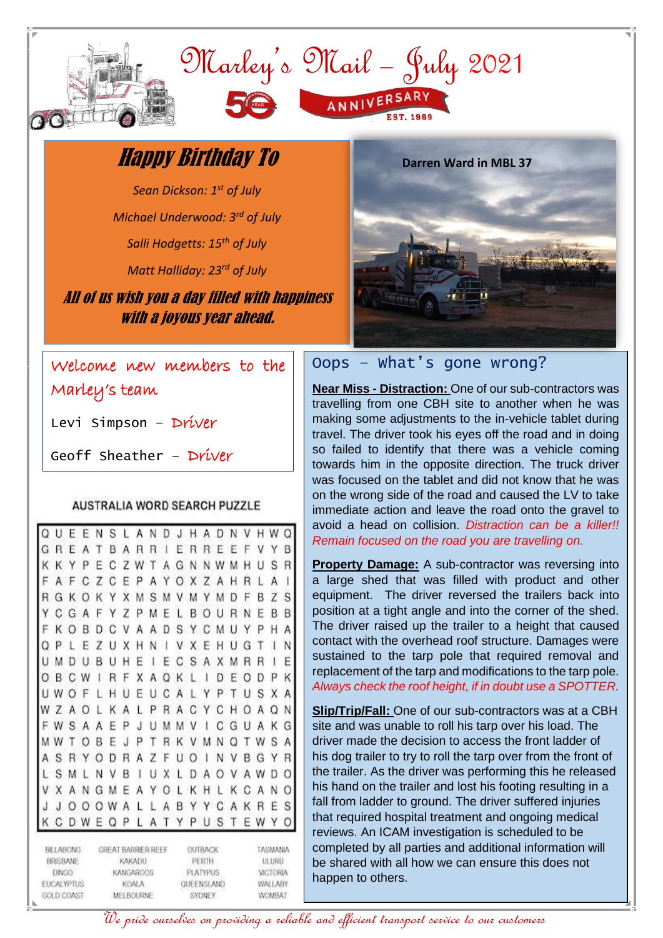

## Happy Birthday To

*Sean Dickson: 1 st of July Michael Underwood: 3rd of July*

*Salli Hodgetts: 15th of July*

*Matt Halliday: 23rd of July*

All of us wish you a day filled with happiness with a joyous year ahead.



Welcome new members to the Marley's team

Levi Simpson – Driver

Geoff Sheather – Driver

#### **AUSTRALIA WORD SEARCH PUZZLE**

|                                                                                 | п |   |   |   |                                                                               |   |   |   |   |                                                      |   |   |    |   |   |                                                                  |   |   |  |
|---------------------------------------------------------------------------------|---|---|---|---|-------------------------------------------------------------------------------|---|---|---|---|------------------------------------------------------|---|---|----|---|---|------------------------------------------------------------------|---|---|--|
| Q                                                                               |   | F | F | Ν | S                                                                             |   | А | Ν | D | J                                                    | н | А | D  | N | V | н                                                                | W | Q |  |
| G                                                                               | R |   | А | T | В                                                                             | A | R | R |   | ь                                                    | R | R | F  | н | F | ٧                                                                | Υ | В |  |
| Κ                                                                               | к |   | P | ۴ | С                                                                             | 7 | W | ŧ | Α | G                                                    | N | Ν | W  | М | Н | U                                                                | S | R |  |
| F                                                                               | А |   |   | Ζ | С                                                                             | Ε | P | А | Υ | О                                                    | X | Ζ | Α  | Н | R | L                                                                | Α | l |  |
| R                                                                               | G | Κ | Э | Κ | Υ                                                                             | Χ | M | S | М | V                                                    | М | Υ | M  | D | F | В                                                                | Z | S |  |
| Υ                                                                               |   | G | А | F | Y                                                                             | Z | Ρ | M | F |                                                      | В | Ω | U  | R | Ν | Ε                                                                | В | В |  |
| F                                                                               | Κ |   | в | D |                                                                               | ٧ | А | А | D | S                                                    | Υ | С | M  | U | Υ | P                                                                | Н | Α |  |
| O                                                                               | Ρ |   |   | Z | U                                                                             | Χ | Η | N |   | V                                                    | х | ۳ | н  | U | G | T                                                                | I | Ν |  |
| U                                                                               | M |   |   | В | U                                                                             | Н | Ε | ı | F | С                                                    | s | Α | Χ  | M | R | R                                                                | ı | E |  |
| Ο                                                                               | В |   |   |   | R                                                                             | F | Χ | Α | Ο | Κ                                                    |   | I | D  | F | Ω | D                                                                | P | Κ |  |
| U                                                                               | W |   |   |   | Н                                                                             | U | F | U | С | Α                                                    |   | Y | Р  |   | U | S                                                                | Χ | Α |  |
| W                                                                               |   | А |   |   | Κ                                                                             | А | L | Ρ | R | А                                                    | С | Υ |    | н | Ω | А                                                                | Q | Ν |  |
| F                                                                               | W | S | А | Α | Ε                                                                             | P | J | U | M | M                                                    | ν |   |    | G | U | А                                                                | Κ | G |  |
| Μ                                                                               | W |   | Ο | В | Ε                                                                             | J | Ρ | I | R | Κ                                                    | ٧ | M | N  | O | Ι | W                                                                | S | Α |  |
| Α                                                                               | S |   |   |   | D                                                                             | R | А | Ζ | F | U                                                    | O |   | N  | ٧ | В | G                                                                | γ | R |  |
| Ł                                                                               | S |   |   | Ν | ٧                                                                             | В | I | U | χ | L                                                    | D | А | Ω  | V | А | W                                                                | D | Ο |  |
| ۷                                                                               | Х |   |   | G |                                                                               | F | Α | Y |   |                                                      | Κ | н |    | κ |   | Α                                                                | Ν | Ο |  |
|                                                                                 |   |   |   |   | W                                                                             | А |   |   | Α | В                                                    | Υ | Υ |    | Α | Κ | R                                                                | E | S |  |
| κ                                                                               |   |   |   | E |                                                                               | Ρ | ı | Α | 4 | Y                                                    | Ρ | U | .S | Ŧ | Ε | W                                                                | Υ |   |  |
| <b>BILLABONG</b><br>BRISBANE<br><b>DINGO</b><br><b>EUCALYPTUS</b><br>GOLD COAST |   |   |   |   | GREAT BARRIER REEF<br>KAKADU<br><b>KANGAROOS</b><br><b>KOALA</b><br>MELBOURNE |   |   |   |   | OUTBACK<br>PERTH<br>PLATYPUS<br>QUEENSLAND<br>SYDNEY |   |   |    |   |   | TASMANIA<br><b>ULURU</b><br><b>VICTORIA</b><br>WALLABY<br>WOMBAT |   |   |  |

### Oops – What's gone wrong?

**Near Miss - Distraction:** One of our sub-contractors was travelling from one CBH site to another when he was making some adjustments to the in-vehicle tablet during travel. The driver took his eyes off the road and in doing so failed to identify that there was a vehicle coming towards him in the opposite direction. The truck driver was focused on the tablet and did not know that he was on the wrong side of the road and caused the LV to take immediate action and leave the road onto the gravel to avoid a head on collision. *Distraction can be a killer!! Remain focused on the road you are travelling on.*

**Property Damage:** A sub-contractor was reversing into a large shed that was filled with product and other equipment. The driver reversed the trailers back into position at a tight angle and into the corner of the shed. The driver raised up the trailer to a height that caused contact with the overhead roof structure. Damages were sustained to the tarp pole that required removal and replacement of the tarp and modifications to the tarp pole. *Always check the roof height, if in doubt use a SPOTTER.*

**Slip/Trip/Fall:** One of our sub-contractors was at a CBH site and was unable to roll his tarp over his load. The driver made the decision to access the front ladder of his dog trailer to try to roll the tarp over from the front of the trailer. As the driver was performing this he released his hand on the trailer and lost his footing resulting in a fall from ladder to ground. The driver suffered injuries that required hospital treatment and ongoing medical reviews. An ICAM investigation is scheduled to be completed by all parties and additional information will be shared with all how we can ensure this does not happen to others.

We pride ourselves on providing a reliable and efficient transport service to our customers